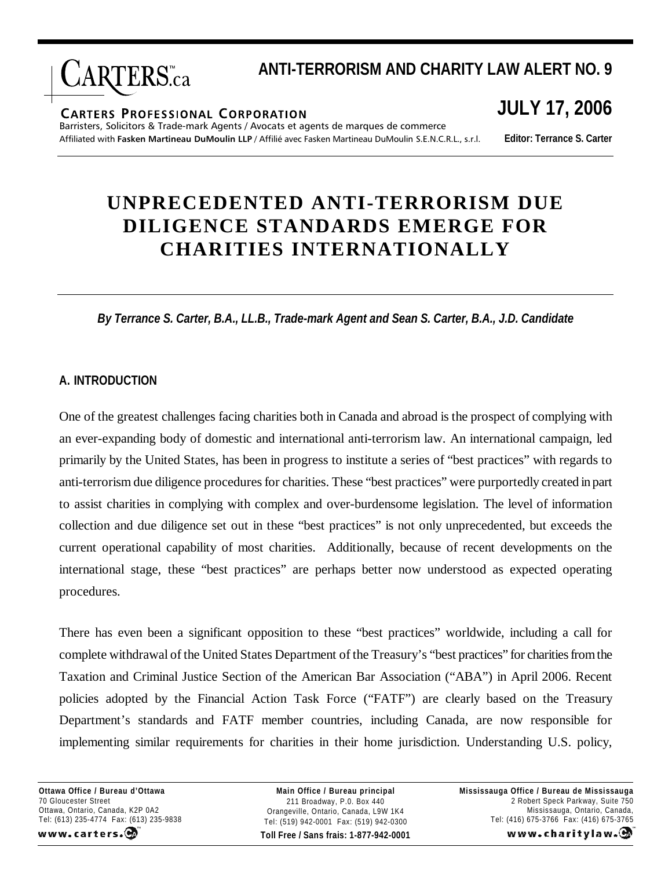**CARTERS PROFESSIONAL CORPORATION** 

Affiliated with **Fasken Martineau DuMoulin LLP** / Affilié avec Fasken Martineau DuMoulin S.E.N.C.R.L., s.r.l.

# **UNPRECEDENTED ANTI-TERRORISM DUE DILIGENCE STANDARDS EMERGE FOR CHARITIES INTERNATIONALLY**

*By Terrance S. Carter, B.A., LL.B., Trade-mark Agent and Sean S. Carter, B.A., J.D. Candidate* 

# **A. INTRODUCTION**

One of the greatest challenges facing charities both in Canada and abroad is the prospect of complying with an ever-expanding body of domestic and international anti-terrorism law. An international campaign, led primarily by the United States, has been in progress to institute a series of "best practices" with regards to anti-terrorism due diligence procedures for charities. These "best practices" were purportedly created in part to assist charities in complying with complex and over-burdensome legislation. The level of information collection and due diligence set out in these "best practices" is not only unprecedented, but exceeds the current operational capability of most charities. Additionally, because of recent developments on the international stage, these "best practices" are perhaps better now understood as expected operating procedures.

There has even been a significant opposition to these "best practices" worldwide, including a call for complete withdrawal of the United States Department of the Treasury's "best practices" for charities from the Taxation and Criminal Justice Section of the American Bar Association ("ABA") in April 2006. Recent policies adopted by the Financial Action Task Force ("FATF") are clearly based on the Treasury Department's standards and FATF member countries, including Canada, are now responsible for implementing similar requirements for charities in their home jurisdiction. Understanding U.S. policy,

**Ottawa Office / Bureau d'Ottawa**  70 Gloucester Street Ottawa, Ontario, Canada, K2P 0A2 Tel: (613) 235-4774 Fax: (613) 235-9838 www.carters.

**Toll Free / Sans frais: 1-877-942-0001 Main Office / Bureau principal**  211 Broadway, P.0. Box 440 Orangeville, Ontario, Canada, L9W 1K4 Tel: (519) 942-0001 Fax: (519) 942-0300

# **ANTI-TERRORISM AND CHARITY LAW ALERT NO. 9**

**CARTERS**.ca

Barristers, Solicitors & Trade-mark Agents / Avocats et agents de marques de commerce



**Editor: Terrance S. Carter**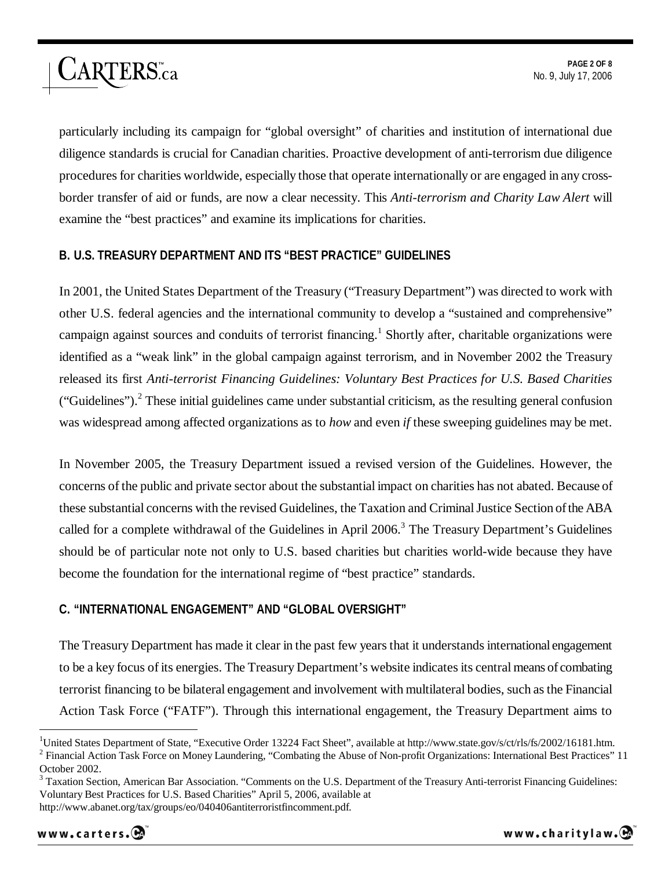particularly including its campaign for "global oversight" of charities and institution of international due diligence standards is crucial for Canadian charities. Proactive development of anti-terrorism due diligence procedures for charities worldwide, especially those that operate internationally or are engaged in any crossborder transfer of aid or funds, are now a clear necessity. This *Anti-terrorism and Charity Law Alert* will examine the "best practices" and examine its implications for charities.

# **B. U.S. TREASURY DEPARTMENT AND ITS "BEST PRACTICE" GUIDELINES**

ARTERS.ca

In 2001, the United States Department of the Treasury ("Treasury Department") was directed to work with other U.S. federal agencies and the international community to develop a "sustained and comprehensive" campaign against sources and conduits of terrorist financing.<sup>1</sup> Shortly after, charitable organizations were identified as a "weak link" in the global campaign against terrorism, and in November 2002 the Treasury released its first *Anti-terrorist Financing Guidelines: Voluntary Best Practices for U.S. Based Charities*  ("Guidelines").<sup>2</sup> These initial guidelines came under substantial criticism, as the resulting general confusion was widespread among affected organizations as to *how* and even *if* these sweeping guidelines may be met.

In November 2005, the Treasury Department issued a revised version of the Guidelines. However, the concerns of the public and private sector about the substantial impact on charities has not abated. Because of these substantial concerns with the revised Guidelines, the Taxation and Criminal Justice Section of the ABA called for a complete withdrawal of the Guidelines in April 2006.<sup>3</sup> The Treasury Department's Guidelines should be of particular note not only to U.S. based charities but charities world-wide because they have become the foundation for the international regime of "best practice" standards.

# **C. "INTERNATIONAL ENGAGEMENT" AND "GLOBAL OVERSIGHT"**

The Treasury Department has made it clear in the past few years that it understands international engagement to be a key focus of its energies. The Treasury Department's website indicates its central means of combating terrorist financing to be bilateral engagement and involvement with multilateral bodies, such as the Financial Action Task Force ("FATF"). Through this international engagement, the Treasury Department aims to

 $\overline{a}$ <sup>1</sup>United States Department of State, "Executive Order 13224 Fact Sheet", available at http://www.state.gov/s/ct/rls/fs/2002/16181.htm.  $\frac{2}{\pi}$  Einengial Action Test Executive and Money Laundering "Combating the Abuse  $2$  Financial Action Task Force on Money Laundering, "Combating the Abuse of Non-profit Organizations: International Best Practices" 11 October 2002.

<sup>&</sup>lt;sup>3</sup> Taxation Section, American Bar Association. "Comments on the U.S. Department of the Treasury Anti-terrorist Financing Guidelines: Voluntary Best Practices for U.S. Based Charities" April 5, 2006, available at http://www.abanet.org/tax/groups/eo/040406antiterroristfincomment.pdf.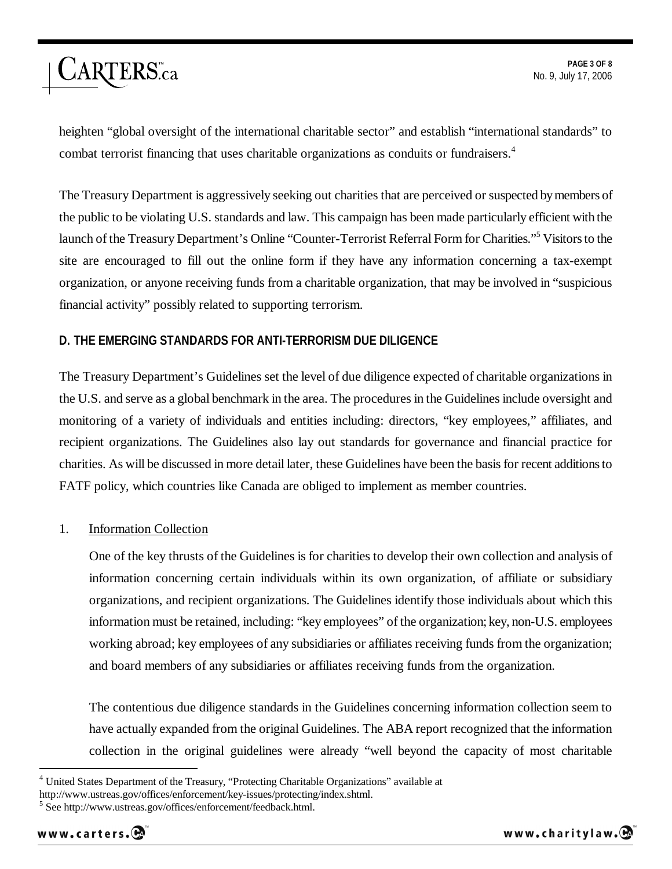heighten "global oversight of the international charitable sector" and establish "international standards" to combat terrorist financing that uses charitable organizations as conduits or fundraisers.<sup>4</sup>

The Treasury Department is aggressively seeking out charities that are perceived or suspected by members of the public to be violating U.S. standards and law. This campaign has been made particularly efficient with the launch of the Treasury Department's Online "Counter-Terrorist Referral Form for Charities."<sup>5</sup> Visitors to the site are encouraged to fill out the online form if they have any information concerning a tax-exempt organization, or anyone receiving funds from a charitable organization, that may be involved in "suspicious financial activity" possibly related to supporting terrorism.

# **D. THE EMERGING STANDARDS FOR ANTI-TERRORISM DUE DILIGENCE**

The Treasury Department's Guidelines set the level of due diligence expected of charitable organizations in the U.S. and serve as a global benchmark in the area. The procedures in the Guidelines include oversight and monitoring of a variety of individuals and entities including: directors, "key employees," affiliates, and recipient organizations. The Guidelines also lay out standards for governance and financial practice for charities. As will be discussed in more detail later, these Guidelines have been the basis for recent additions to FATF policy, which countries like Canada are obliged to implement as member countries.

# 1. Information Collection

One of the key thrusts of the Guidelines is for charities to develop their own collection and analysis of information concerning certain individuals within its own organization, of affiliate or subsidiary organizations, and recipient organizations. The Guidelines identify those individuals about which this information must be retained, including: "key employees" of the organization; key, non-U.S. employees working abroad; key employees of any subsidiaries or affiliates receiving funds from the organization; and board members of any subsidiaries or affiliates receiving funds from the organization.

The contentious due diligence standards in the Guidelines concerning information collection seem to have actually expanded from the original Guidelines. The ABA report recognized that the information collection in the original guidelines were already "well beyond the capacity of most charitable

<sup>&</sup>lt;sup>4</sup> United States Department of the Treasury, "Protecting Charitable Organizations" available at

http://www.ustreas.gov/offices/enforcement/key-issues/protecting/index.shtml.

<sup>5</sup> See http://www.ustreas.gov/offices/enforcement/feedback.html.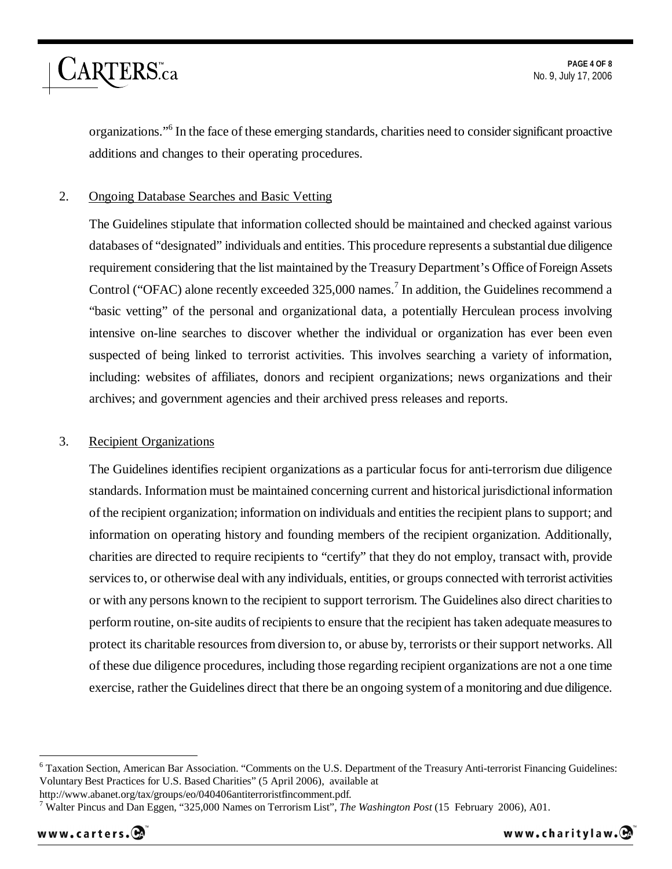

organizations."6 In the face of these emerging standards, charities need to consider significant proactive additions and changes to their operating procedures.

#### 2. Ongoing Database Searches and Basic Vetting

The Guidelines stipulate that information collected should be maintained and checked against various databases of "designated" individuals and entities. This procedure represents a substantial due diligence requirement considering that the list maintained by the Treasury Department's Office of Foreign Assets Control ("OFAC) alone recently exceeded  $325,000$  names.<sup>7</sup> In addition, the Guidelines recommend a "basic vetting" of the personal and organizational data, a potentially Herculean process involving intensive on-line searches to discover whether the individual or organization has ever been even suspected of being linked to terrorist activities. This involves searching a variety of information, including: websites of affiliates, donors and recipient organizations; news organizations and their archives; and government agencies and their archived press releases and reports.

#### 3. Recipient Organizations

The Guidelines identifies recipient organizations as a particular focus for anti-terrorism due diligence standards. Information must be maintained concerning current and historical jurisdictional information of the recipient organization; information on individuals and entities the recipient plans to support; and information on operating history and founding members of the recipient organization. Additionally, charities are directed to require recipients to "certify" that they do not employ, transact with, provide services to, or otherwise deal with any individuals, entities, or groups connected with terrorist activities or with any persons known to the recipient to support terrorism. The Guidelines also direct charities to perform routine, on-site audits of recipients to ensure that the recipient has taken adequate measures to protect its charitable resources from diversion to, or abuse by, terrorists or their support networks. All of these due diligence procedures, including those regarding recipient organizations are not a one time exercise, rather the Guidelines direct that there be an ongoing system of a monitoring and due diligence.

http://www.abanet.org/tax/groups/eo/040406antiterroristfincomment.pdf. 7

<sup>&</sup>lt;sup>6</sup> Taxation Section, American Bar Association. "Comments on the U.S. Department of the Treasury Anti-terrorist Financing Guidelines: Voluntary Best Practices for U.S. Based Charities" (5 April 2006), available at

Walter Pincus and Dan Eggen, "325,000 Names on Terrorism List", *The Washington Post* (15 February 2006), A01.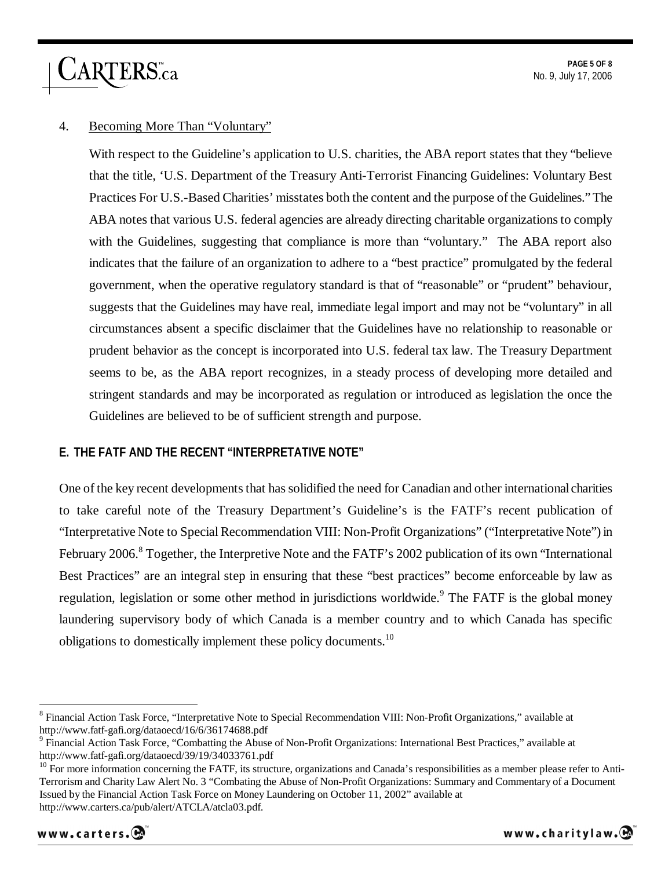# ARTERS.ca

# 4. Becoming More Than "Voluntary"

With respect to the Guideline's application to U.S. charities, the ABA report states that they "believe that the title, 'U.S. Department of the Treasury Anti-Terrorist Financing Guidelines: Voluntary Best Practices For U.S.-Based Charities' misstates both the content and the purpose of the Guidelines." The ABA notes that various U.S. federal agencies are already directing charitable organizations to comply with the Guidelines, suggesting that compliance is more than "voluntary." The ABA report also indicates that the failure of an organization to adhere to a "best practice" promulgated by the federal government, when the operative regulatory standard is that of "reasonable" or "prudent" behaviour, suggests that the Guidelines may have real, immediate legal import and may not be "voluntary" in all circumstances absent a specific disclaimer that the Guidelines have no relationship to reasonable or prudent behavior as the concept is incorporated into U.S. federal tax law. The Treasury Department seems to be, as the ABA report recognizes, in a steady process of developing more detailed and stringent standards and may be incorporated as regulation or introduced as legislation the once the Guidelines are believed to be of sufficient strength and purpose.

# **E. THE FATF AND THE RECENT "INTERPRETATIVE NOTE"**

One of the key recent developments that has solidified the need for Canadian and other international charities to take careful note of the Treasury Department's Guideline's is the FATF's recent publication of "Interpretative Note to Special Recommendation VIII: Non-Profit Organizations" ("Interpretative Note") in February 2006.<sup>8</sup> Together, the Interpretive Note and the FATF's 2002 publication of its own "International Best Practices" are an integral step in ensuring that these "best practices" become enforceable by law as regulation, legislation or some other method in jurisdictions worldwide.<sup>9</sup> The FATF is the global money laundering supervisory body of which Canada is a member country and to which Canada has specific obligations to domestically implement these policy documents.<sup>10</sup>

 $\overline{a}$ <sup>8</sup> Financial Action Task Force, "Interpretative Note to Special Recommendation VIII: Non-Profit Organizations," available at http://www.fatf-gafi.org/dataoecd/16/6/36174688.pdf

<sup>&</sup>lt;sup>9</sup> Financial Action Task Force, "Combatting the Abuse of Non-Profit Organizations: International Best Practices," available at

http://www.fatf-gafi.org/dataoecd/39/19/34033761.pdf<br><sup>10</sup> For more information concerning the FATF, its structure, organizations and Canada's responsibilities as a member please refer to Anti-Terrorism and Charity Law Alert No. 3 "Combating the Abuse of Non-Profit Organizations: Summary and Commentary of a Document Issued by the Financial Action Task Force on Money Laundering on October 11, 2002" available at http://www.carters.ca/pub/alert/ATCLA/atcla03.pdf.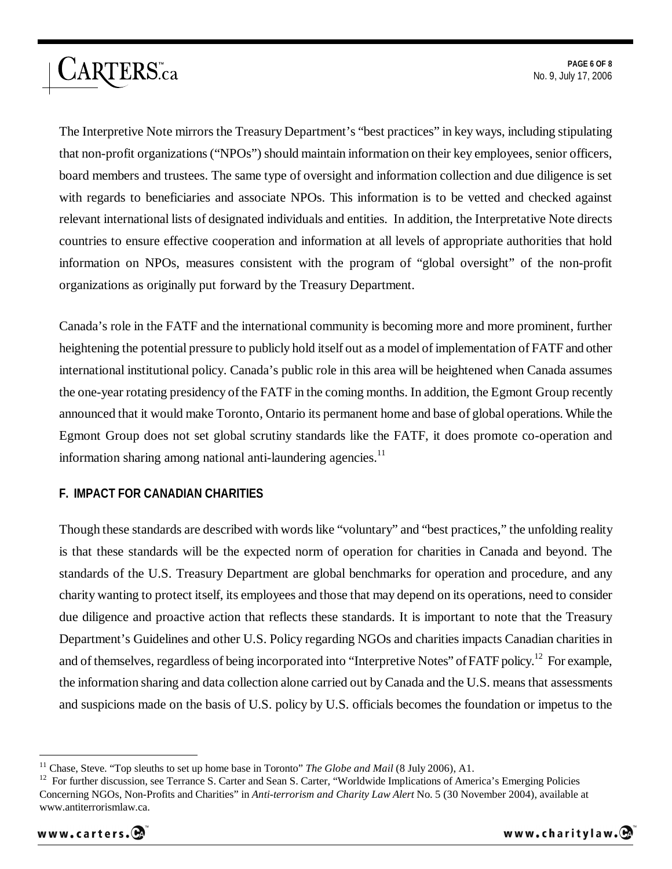The Interpretive Note mirrors the Treasury Department's "best practices" in key ways, including stipulating that non-profit organizations ("NPOs") should maintain information on their key employees, senior officers, board members and trustees. The same type of oversight and information collection and due diligence is set with regards to beneficiaries and associate NPOs. This information is to be vetted and checked against relevant international lists of designated individuals and entities. In addition, the Interpretative Note directs countries to ensure effective cooperation and information at all levels of appropriate authorities that hold information on NPOs, measures consistent with the program of "global oversight" of the non-profit organizations as originally put forward by the Treasury Department.

Canada's role in the FATF and the international community is becoming more and more prominent, further heightening the potential pressure to publicly hold itself out as a model of implementation of FATF and other international institutional policy. Canada's public role in this area will be heightened when Canada assumes the one-year rotating presidency of the FATF in the coming months. In addition, the Egmont Group recently announced that it would make Toronto, Ontario its permanent home and base of global operations. While the Egmont Group does not set global scrutiny standards like the FATF, it does promote co-operation and information sharing among national anti-laundering agencies.<sup>11</sup>

# **F. IMPACT FOR CANADIAN CHARITIES**

ARTERS.ca

Though these standards are described with words like "voluntary" and "best practices," the unfolding reality is that these standards will be the expected norm of operation for charities in Canada and beyond. The standards of the U.S. Treasury Department are global benchmarks for operation and procedure, and any charity wanting to protect itself, its employees and those that may depend on its operations, need to consider due diligence and proactive action that reflects these standards. It is important to note that the Treasury Department's Guidelines and other U.S. Policy regarding NGOs and charities impacts Canadian charities in and of themselves, regardless of being incorporated into "Interpretive Notes" of FATF policy.<sup>12</sup> For example, the information sharing and data collection alone carried out by Canada and the U.S. means that assessments and suspicions made on the basis of U.S. policy by U.S. officials becomes the foundation or impetus to the

<sup>&</sup>lt;sup>11</sup> Chase, Steve. "Top sleuths to set up home base in Toronto" *The Globe and Mail* (8 July 2006), A1.<br><sup>12</sup> For further discussion, see Terrance S. Carter and Sean S. Carter, "Worldwide Implications of America's Emerging Concerning NGOs, Non-Profits and Charities" in *Anti-terrorism and Charity Law Alert* No. 5 (30 November 2004), available at www.antiterrorismlaw.ca.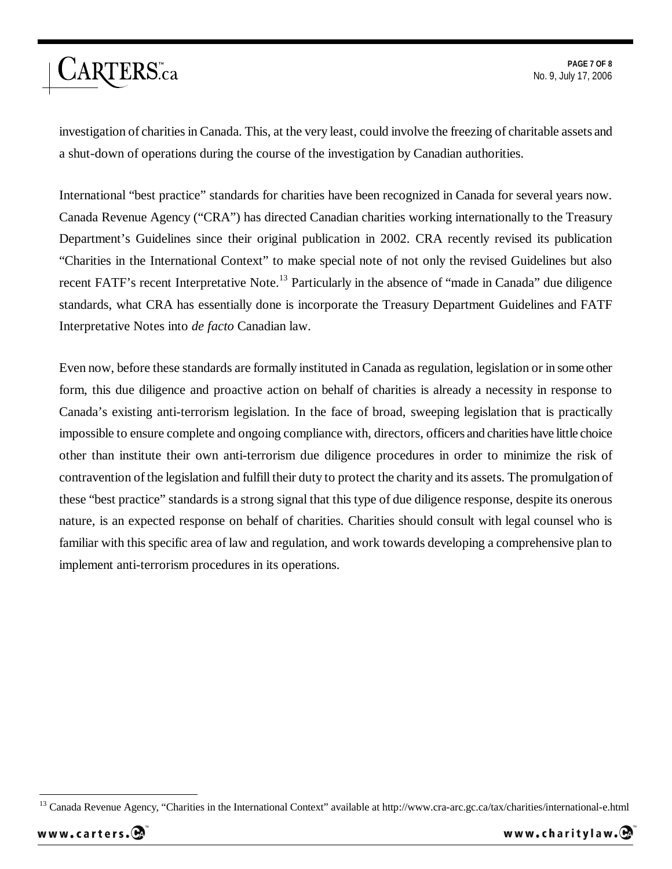# ARTERS.ca

**PAGE 7 OF 8**  No. 9, July 17, 2006

investigation of charities in Canada. This, at the very least, could involve the freezing of charitable assets and a shut-down of operations during the course of the investigation by Canadian authorities.

International "best practice" standards for charities have been recognized in Canada for several years now. Canada Revenue Agency ("CRA") has directed Canadian charities working internationally to the Treasury Department's Guidelines since their original publication in 2002. CRA recently revised its publication "Charities in the International Context" to make special note of not only the revised Guidelines but also recent FATF's recent Interpretative Note.<sup>13</sup> Particularly in the absence of "made in Canada" due diligence standards, what CRA has essentially done is incorporate the Treasury Department Guidelines and FATF Interpretative Notes into *de facto* Canadian law.

Even now, before these standards are formally instituted in Canada as regulation, legislation or in some other form, this due diligence and proactive action on behalf of charities is already a necessity in response to Canada's existing anti-terrorism legislation. In the face of broad, sweeping legislation that is practically impossible to ensure complete and ongoing compliance with, directors, officers and charities have little choice other than institute their own anti-terrorism due diligence procedures in order to minimize the risk of contravention of the legislation and fulfill their duty to protect the charity and its assets. The promulgation of these "best practice" standards is a strong signal that this type of due diligence response, despite its onerous nature, is an expected response on behalf of charities. Charities should consult with legal counsel who is familiar with this specific area of law and regulation, and work towards developing a comprehensive plan to implement anti-terrorism procedures in its operations.

<sup>&</sup>lt;sup>13</sup> Canada Revenue Agency, "Charities in the International Context" available at http://www.cra-arc.gc.ca/tax/charities/international-e.html